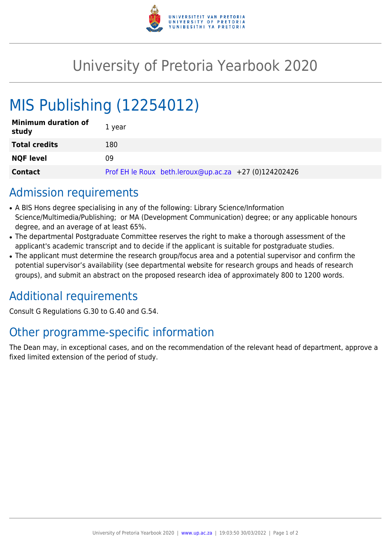

## University of Pretoria Yearbook 2020

# MIS Publishing (12254012)

| <b>Minimum duration of</b><br>study | 1 year                                                |
|-------------------------------------|-------------------------------------------------------|
| <b>Total credits</b>                | 180                                                   |
| <b>NQF level</b>                    | 09                                                    |
| <b>Contact</b>                      | Prof EH le Roux beth.leroux@up.ac.za +27 (0)124202426 |

#### Admission requirements

- A BIS Hons degree specialising in any of the following: Library Science/Information Science/Multimedia/Publishing; or MA (Development Communication) degree; or any applicable honours degree, and an average of at least 65%.
- The departmental Postgraduate Committee reserves the right to make a thorough assessment of the applicant's academic transcript and to decide if the applicant is suitable for postgraduate studies.
- The applicant must determine the research group/focus area and a potential supervisor and confirm the potential supervisor's availability (see departmental website for research groups and heads of research groups), and submit an abstract on the proposed research idea of approximately 800 to 1200 words.

#### Additional requirements

Consult G Regulations G.30 to G.40 and G.54.

### Other programme-specific information

The Dean may, in exceptional cases, and on the recommendation of the relevant head of department, approve a fixed limited extension of the period of study.